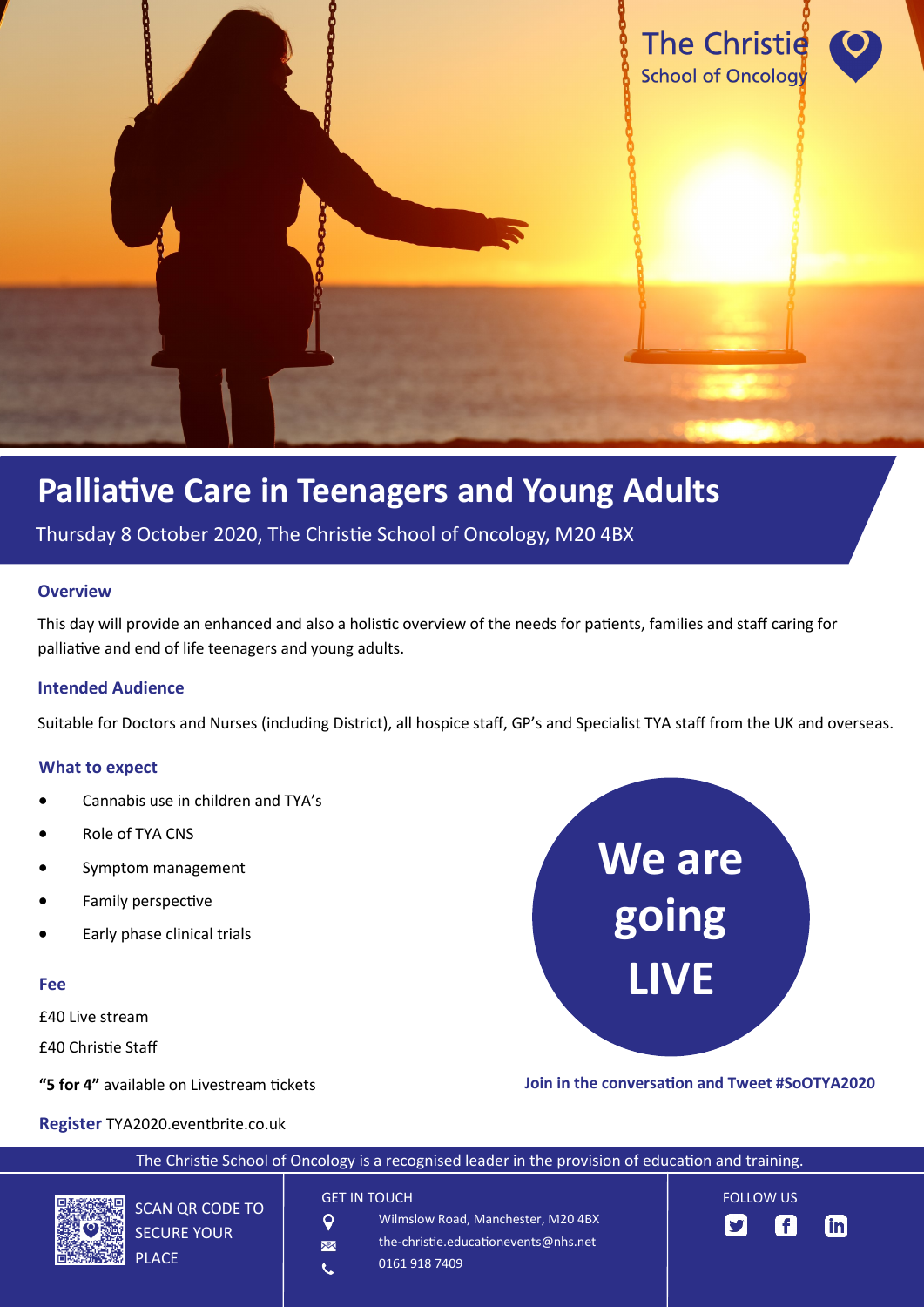

# **Palliative Care in Teenagers and Young Adults**

Thursday 8 October 2020, The Christie School of Oncology, M20 4BX

#### **Overview**

This day will provide an enhanced and also a holistic overview of the needs for patients, families and staff caring for palliative and end of life teenagers and young adults.

### **Intended Audience**

Suitable for Doctors and Nurses (including District), all hospice staff, GP's and Specialist TYA staff from the UK and overseas.

#### **What to expect**

- Cannabis use in children and TYA's
- Role of TYA CNS
- Symptom management
- Family perspective
- Early phase clinical trials

#### **Fee**

£40 Live stream

£40 Christie Staff

**"5 for 4"** available on Livestream tickets



**Join in the conversation and Tweet #SoOTYA2020**

**Register** TYA2020.eventbrite.co.uk

| The Christie School of Oncology is a recognised leader in the provision of education and training. |                         |                                                                                                                    |                                      |               |  |
|----------------------------------------------------------------------------------------------------|-------------------------|--------------------------------------------------------------------------------------------------------------------|--------------------------------------|---------------|--|
| 美国<br>SCAN QR CODE TO<br><b>SECURE YOUR</b><br>r.<br><b>PLACE</b>                                  | O<br>$\mathbb{X}$<br>V. | <b>GET IN TOUCH</b><br>Wilmslow Road, Manchester, M20 4BX<br>the-christie.educationevents@nhs.net<br>0161 918 7409 | <b>FOLLOW US</b><br>$\mathbf{y}$ (f) | <u>l</u> in l |  |